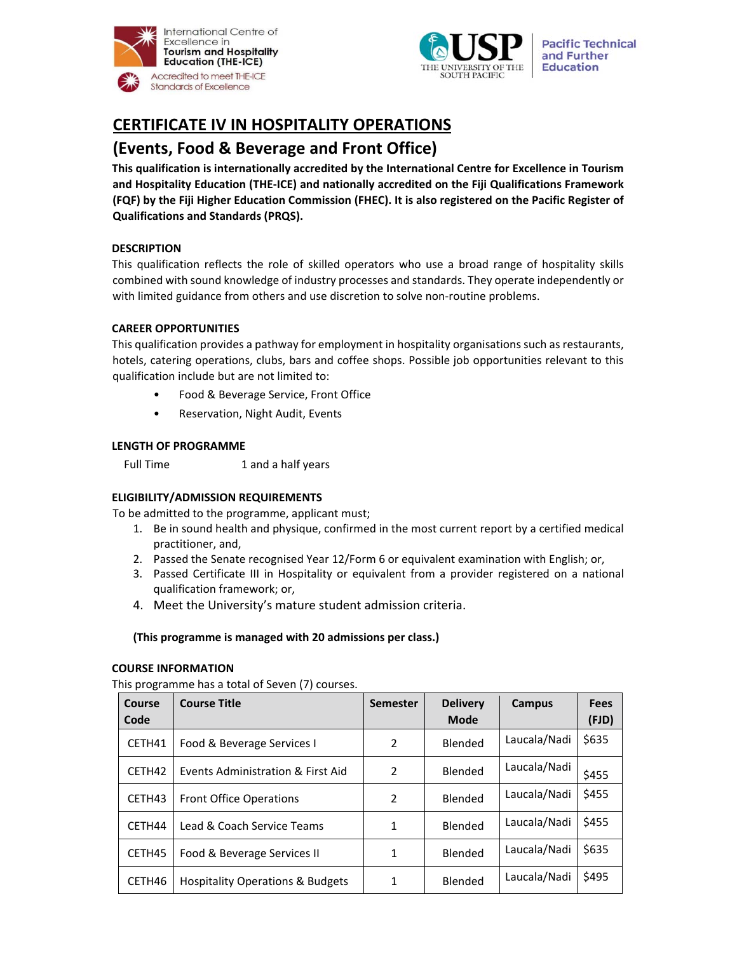



**Pacific Technical** and Further **Education** 

# **CERTIFICATE IV IN HOSPITALITY OPERATIONS**

# **(Events, Food & Beverage and Front Office)**

**This qualification is internationally accredited by the International Centre for Excellence in Tourism and Hospitality Education (THE‐ICE) and nationally accredited on the Fiji Qualifications Framework (FQF) by the Fiji Higher Education Commission (FHEC). It is also registered on the Pacific Register of Qualifications and Standards (PRQS).**

# **DESCRIPTION**

This qualification reflects the role of skilled operators who use a broad range of hospitality skills combined with sound knowledge of industry processes and standards. They operate independently or with limited guidance from others and use discretion to solve non-routine problems.

# **CAREER OPPORTUNITIES**

This qualification provides a pathway for employment in hospitality organisations such as restaurants, hotels, catering operations, clubs, bars and coffee shops. Possible job opportunities relevant to this qualification include but are not limited to:

- Food & Beverage Service, Front Office
- Reservation, Night Audit, Events

#### **LENGTH OF PROGRAMME**

Full Time 1 and a half years

# **ELIGIBILITY/ADMISSION REQUIREMENTS**

To be admitted to the programme, applicant must;

- 1. Be in sound health and physique, confirmed in the most current report by a certified medical practitioner, and,
- 2. Passed the Senate recognised Year 12/Form 6 or equivalent examination with English; or,
- 3. Passed Certificate III in Hospitality or equivalent from a provider registered on a national qualification framework; or,
- 4. Meet the University's mature student admission criteria.

#### **(This programme is managed with 20 admissions per class.)**

#### **COURSE INFORMATION**

This programme has a total of Seven (7) courses.

| Course<br>Code | <b>Course Title</b>                         | <b>Semester</b> | <b>Delivery</b><br><b>Mode</b> | Campus       | <b>Fees</b><br>(FJD) |
|----------------|---------------------------------------------|-----------------|--------------------------------|--------------|----------------------|
| CETH41         | Food & Beverage Services I                  | 2               | <b>Blended</b>                 | Laucala/Nadi | \$635                |
| CETH42         | Events Administration & First Aid           | 2               | Blended                        | Laucala/Nadi | \$455                |
| CETH43         | <b>Front Office Operations</b>              | 2               | <b>Blended</b>                 | Laucala/Nadi | \$455                |
| CETH44         | Lead & Coach Service Teams                  | 1               | Blended                        | Laucala/Nadi | \$455                |
| CETH45         | Food & Beverage Services II                 | 1               | Blended                        | Laucala/Nadi | \$635                |
| CETH46         | <b>Hospitality Operations &amp; Budgets</b> | 1               | Blended                        | Laucala/Nadi | \$495                |